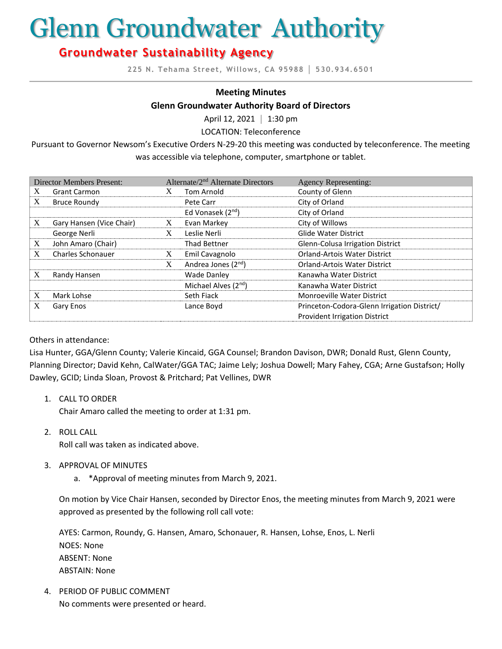# Glenn Groundwater Authority

## **Groundwater Sustainability Agency**

**225 N. Tehama Street, Willows, CA 95988 │ 530.934.6501**

#### **Meeting Minutes**

#### **Glenn Groundwater Authority Board of Directors**

April 12, 2021 **│** 1:30 pm

LOCATION: Teleconference

Pursuant to Governor Newsom's Executive Orders N-29-20 this meeting was conducted by teleconference. The meeting was accessible via telephone, computer, smartphone or tablet.

| <b>Director Members Present:</b> |                          | Alternate/2 <sup>nd</sup> Alternate Directors |                                  | <b>Agency Representing:</b>                 |
|----------------------------------|--------------------------|-----------------------------------------------|----------------------------------|---------------------------------------------|
| X                                | <b>Grant Carmon</b>      | X                                             | Tom Arnold                       | County of Glenn                             |
| X                                | <b>Bruce Roundy</b>      |                                               | Pete Carr                        | City of Orland                              |
|                                  |                          |                                               | Ed Vonasek (2 <sup>nd</sup> )    | City of Orland                              |
| X                                | Gary Hansen (Vice Chair) | X                                             | Evan Markey                      | City of Willows                             |
|                                  | George Nerli             | X                                             | Leslie Nerli                     | <b>Glide Water District</b>                 |
| X                                | John Amaro (Chair)       |                                               | <b>Thad Bettner</b>              | Glenn-Colusa Irrigation District            |
| X                                | <b>Charles Schonauer</b> | X                                             | Emil Cavagnolo                   | <b>Orland-Artois Water District</b>         |
|                                  |                          | X                                             | Andrea Jones (2 <sup>nd</sup> )  | <b>Orland-Artois Water District</b>         |
| X                                | Randy Hansen             |                                               | <b>Wade Danley</b>               | Kanawha Water District                      |
|                                  |                          |                                               | Michael Alves (2 <sup>nd</sup> ) | Kanawha Water District                      |
| X                                | Mark Lohse               |                                               | Seth Fiack                       | <b>Monroeville Water District</b>           |
| X                                | Gary Enos                |                                               | Lance Boyd                       | Princeton-Codora-Glenn Irrigation District/ |
|                                  |                          |                                               |                                  | Provident Irrigation District               |

#### Others in attendance:

Lisa Hunter, GGA/Glenn County; Valerie Kincaid, GGA Counsel; Brandon Davison, DWR; Donald Rust, Glenn County, Planning Director; David Kehn, CalWater/GGA TAC; Jaime Lely; Joshua Dowell; Mary Fahey, CGA; Arne Gustafson; Holly Dawley, GCID; Linda Sloan, Provost & Pritchard; Pat Vellines, DWR

1. CALL TO ORDER

Chair Amaro called the meeting to order at 1:31 pm.

2. ROLL CALL

Roll call was taken as indicated above.

- 3. APPROVAL OF MINUTES
	- a. \*Approval of meeting minutes from March 9, 2021.

On motion by Vice Chair Hansen, seconded by Director Enos, the meeting minutes from March 9, 2021 were approved as presented by the following roll call vote:

AYES: Carmon, Roundy, G. Hansen, Amaro, Schonauer, R. Hansen, Lohse, Enos, L. Nerli NOES: None ABSENT: None ABSTAIN: None

4. PERIOD OF PUBLIC COMMENT No comments were presented or heard.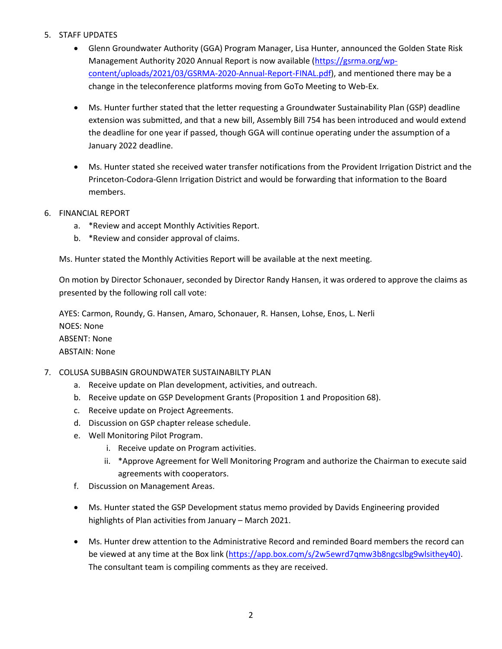#### 5. STAFF UPDATES

- Glenn Groundwater Authority (GGA) Program Manager, Lisa Hunter, announced the Golden State Risk Management Authority 2020 Annual Report is now available [\(https://gsrma.org/wp](https://gsrma.org/wp-content/uploads/2021/03/GSRMA-2020-Annual-Report-FINAL.pdf)[content/uploads/2021/03/GSRMA-2020-Annual-Report-FINAL.pdf\)](https://gsrma.org/wp-content/uploads/2021/03/GSRMA-2020-Annual-Report-FINAL.pdf), and mentioned there may be a change in the teleconference platforms moving from GoTo Meeting to Web-Ex.
- Ms. Hunter further stated that the letter requesting a Groundwater Sustainability Plan (GSP) deadline extension was submitted, and that a new bill, Assembly Bill 754 has been introduced and would extend the deadline for one year if passed, though GGA will continue operating under the assumption of a January 2022 deadline.
- Ms. Hunter stated she received water transfer notifications from the Provident Irrigation District and the Princeton-Codora-Glenn Irrigation District and would be forwarding that information to the Board members.
- 6. FINANCIAL REPORT
	- a. \*Review and accept Monthly Activities Report.
	- b. \*Review and consider approval of claims.

Ms. Hunter stated the Monthly Activities Report will be available at the next meeting.

On motion by Director Schonauer, seconded by Director Randy Hansen, it was ordered to approve the claims as presented by the following roll call vote:

AYES: Carmon, Roundy, G. Hansen, Amaro, Schonauer, R. Hansen, Lohse, Enos, L. Nerli NOES: None ABSENT: None ABSTAIN: None

#### 7. COLUSA SUBBASIN GROUNDWATER SUSTAINABILTY PLAN

- a. Receive update on Plan development, activities, and outreach.
- b. Receive update on GSP Development Grants (Proposition 1 and Proposition 68).
- c. Receive update on Project Agreements.
- d. Discussion on GSP chapter release schedule.
- e. Well Monitoring Pilot Program.
	- i. Receive update on Program activities.
	- ii. \*Approve Agreement for Well Monitoring Program and authorize the Chairman to execute said agreements with cooperators.
- f. Discussion on Management Areas.
- Ms. Hunter stated the GSP Development status memo provided by Davids Engineering provided highlights of Plan activities from January – March 2021.
- Ms. Hunter drew attention to the Administrative Record and reminded Board members the record can be viewed at any time at the Box link [\(https://app.box.com/s/2w5ewrd7qmw3b8ngcslbg9wlsithey40\)](https://app.box.com/s/2w5ewrd7qmw3b8ngcslbg9wlsithey40). The consultant team is compiling comments as they are received.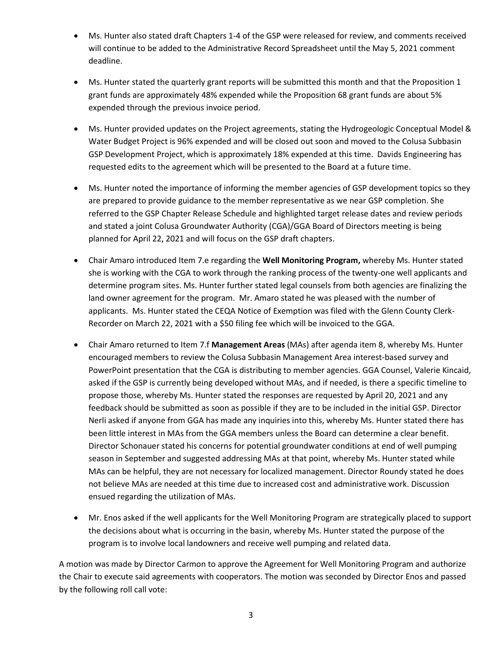- Ms. Hunter also stated draft Chapters 1-4 of the GSP were released for review, and comments received will continue to be added to the Administrative Record Spreadsheet until the May 5, 2021 comment deadline.
- Ms. Hunter stated the quarterly grant reports will be submitted this month and that the Proposition 1 grant funds are approximately 48% expended while the Proposition 68 grant funds are about 5% expended through the previous invoice period.
- Ms. Hunter provided updates on the Project agreements, stating the Hydrogeologic Conceptual Model & Water Budget Project is 96% expended and will be closed out soon and moved to the Colusa Subbasin GSP Development Project, which is approximately 18% expended at this time. Davids Engineering has requested edits to the agreement which will be presented to the Board at a future time.
- Ms. Hunter noted the importance of informing the member agencies of GSP development topics so they are prepared to provide guidance to the member representative as we near GSP completion. She referred to the GSP Chapter Release Schedule and highlighted target release dates and review periods and stated a joint Colusa Groundwater Authority (CGA)/GGA Board of Directors meeting is being planned for April 22, 2021 and will focus on the GSP draft chapters.
- Chair Amaro introduced Item 7.e regarding the **Well Monitoring Program,** whereby Ms. Hunter stated she is working with the CGA to work through the ranking process of the twenty-one well applicants and determine program sites. Ms. Hunter further stated legal counsels from both agencies are finalizing the land owner agreement for the program. Mr. Amaro stated he was pleased with the number of applicants. Ms. Hunter stated the CEQA Notice of Exemption was filed with the Glenn County Clerk-Recorder on March 22, 2021 with a \$50 filing fee which will be invoiced to the GGA.
- Chair Amaro returned to Item 7.f **Management Areas** (MAs) after agenda item 8, whereby Ms. Hunter encouraged members to review the Colusa Subbasin Management Area interest-based survey and PowerPoint presentation that the CGA is distributing to member agencies. GGA Counsel, Valerie Kincaid, asked if the GSP is currently being developed without MAs, and if needed, is there a specific timeline to propose those, whereby Ms. Hunter stated the responses are requested by April 20, 2021 and any feedback should be submitted as soon as possible if they are to be included in the initial GSP. Director Nerli asked if anyone from GGA has made any inquiries into this, whereby Ms. Hunter stated there has been little interest in MAs from the GGA members unless the Board can determine a clear benefit. Director Schonauer stated his concerns for potential groundwater conditions at end of well pumping season in September and suggested addressing MAs at that point, whereby Ms. Hunter stated while MAs can be helpful, they are not necessary for localized management. Director Roundy stated he does not believe MAs are needed at this time due to increased cost and administrative work. Discussion ensued regarding the utilization of MAs.
- Mr. Enos asked if the well applicants for the Well Monitoring Program are strategically placed to support the decisions about what is occurring in the basin, whereby Ms. Hunter stated the purpose of the program is to involve local landowners and receive well pumping and related data.

A motion was made by Director Carmon to approve the Agreement for Well Monitoring Program and authorize the Chair to execute said agreements with cooperators. The motion was seconded by Director Enos and passed by the following roll call vote: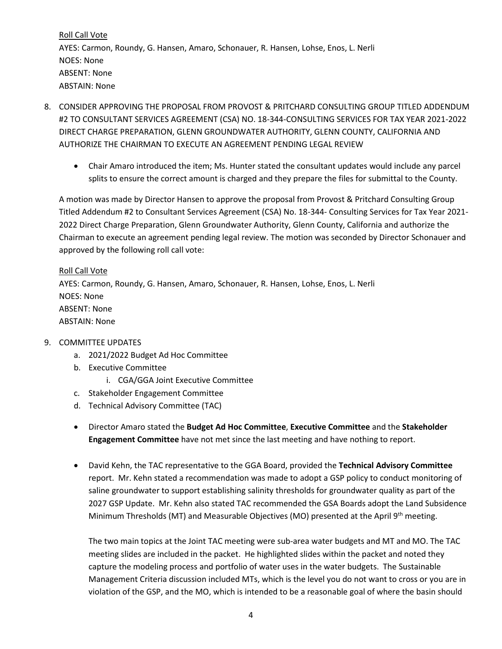Roll Call Vote AYES: Carmon, Roundy, G. Hansen, Amaro, Schonauer, R. Hansen, Lohse, Enos, L. Nerli NOES: None ABSENT: None ABSTAIN: None

- 8. CONSIDER APPROVING THE PROPOSAL FROM PROVOST & PRITCHARD CONSULTING GROUP TITLED ADDENDUM #2 TO CONSULTANT SERVICES AGREEMENT (CSA) NO. 18-344-CONSULTING SERVICES FOR TAX YEAR 2021-2022 DIRECT CHARGE PREPARATION, GLENN GROUNDWATER AUTHORITY, GLENN COUNTY, CALIFORNIA AND AUTHORIZE THE CHAIRMAN TO EXECUTE AN AGREEMENT PENDING LEGAL REVIEW
	- Chair Amaro introduced the item; Ms. Hunter stated the consultant updates would include any parcel splits to ensure the correct amount is charged and they prepare the files for submittal to the County.

A motion was made by Director Hansen to approve the proposal from Provost & Pritchard Consulting Group Titled Addendum #2 to Consultant Services Agreement (CSA) No. 18-344- Consulting Services for Tax Year 2021- 2022 Direct Charge Preparation, Glenn Groundwater Authority, Glenn County, California and authorize the Chairman to execute an agreement pending legal review. The motion was seconded by Director Schonauer and approved by the following roll call vote:

### Roll Call Vote AYES: Carmon, Roundy, G. Hansen, Amaro, Schonauer, R. Hansen, Lohse, Enos, L. Nerli NOES: None ABSENT: None ABSTAIN: None

#### 9. COMMITTEE UPDATES

- a. 2021/2022 Budget Ad Hoc Committee
- b. Executive Committee
	- i. CGA/GGA Joint Executive Committee
- c. Stakeholder Engagement Committee
- d. Technical Advisory Committee (TAC)
- Director Amaro stated the **Budget Ad Hoc Committee**, **Executive Committee** and the **Stakeholder Engagement Committee** have not met since the last meeting and have nothing to report.
- David Kehn, the TAC representative to the GGA Board, provided the **Technical Advisory Committee** report. Mr. Kehn stated a recommendation was made to adopt a GSP policy to conduct monitoring of saline groundwater to support establishing salinity thresholds for groundwater quality as part of the 2027 GSP Update. Mr. Kehn also stated TAC recommended the GSA Boards adopt the Land Subsidence Minimum Thresholds (MT) and Measurable Objectives (MO) presented at the April 9<sup>th</sup> meeting.

The two main topics at the Joint TAC meeting were sub-area water budgets and MT and MO. The TAC meeting slides are included in the packet. He highlighted slides within the packet and noted they capture the modeling process and portfolio of water uses in the water budgets. The Sustainable Management Criteria discussion included MTs, which is the level you do not want to cross or you are in violation of the GSP, and the MO, which is intended to be a reasonable goal of where the basin should